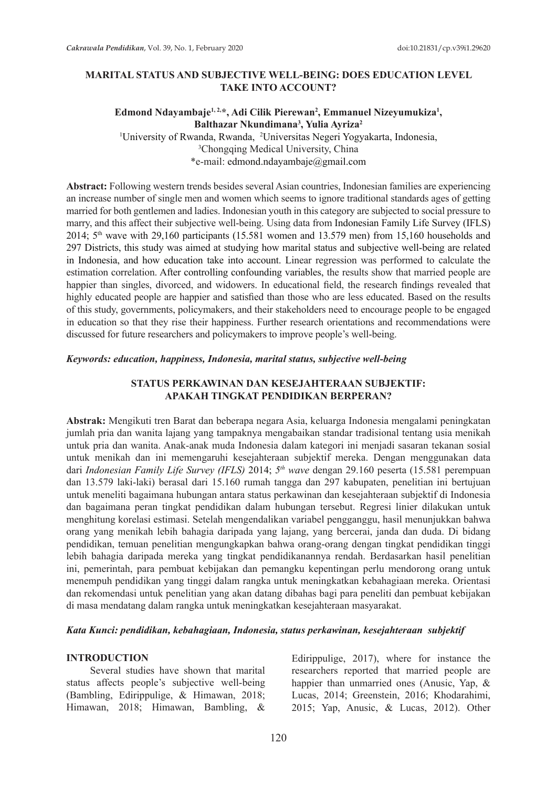### **MARITAL STATUS AND SUBJECTIVE WELL-BEING: DOES EDUCATION LEVEL TAKE INTO ACCOUNT?**

### Edmond Ndayambaje<sup>1, 2,\*</sup>, Adi Cilik Pierewan<sup>2</sup>, Emmanuel Nizeyumukiza<sup>1</sup>, **Balthazar Nkundimana3 , Yulia Ayriza2** 1 University of Rwanda, Rwanda, 2 Universitas Negeri Yogyakarta, Indonesia, 3 Chongqing Medical University, China \*e-mail: edmond.ndayambaje@gmail.com

**Abstract:** Following western trends besides several Asian countries, Indonesian families are experiencing an increase number of single men and women which seems to ignore traditional standards ages of getting married for both gentlemen and ladies. Indonesian youth in this category are subjected to social pressure to marry, and this affect their subjective well-being. Using data from Indonesian Family Life Survey (IFLS) 2014; 5th wave with 29,160 participants (15.581 women and 13.579 men) from 15,160 households and 297 Districts, this study was aimed at studying how marital status and subjective well-being are related in Indonesia, and how education take into account. Linear regression was performed to calculate the estimation correlation. After controlling confounding variables, the results show that married people are happier than singles, divorced, and widowers. In educational field, the research findings revealed that highly educated people are happier and satisfied than those who are less educated. Based on the results of this study, governments, policymakers, and their stakeholders need to encourage people to be engaged in education so that they rise their happiness. Further research orientations and recommendations were discussed for future researchers and policymakers to improve people's well-being.

#### *Keywords: education, happiness, Indonesia, marital status, subjective well-being*

### **STATUS PERKAWINAN DAN KESEJAHTERAAN SUBJEKTIF: APAKAH TINGKAT PENDIDIKAN BERPERAN?**

**Abstrak:** Mengikuti tren Barat dan beberapa negara Asia, keluarga Indonesia mengalami peningkatan jumlah pria dan wanita lajang yang tampaknya mengabaikan standar tradisional tentang usia menikah untuk pria dan wanita. Anak-anak muda Indonesia dalam kategori ini menjadi sasaran tekanan sosial untuk menikah dan ini memengaruhi kesejahteraan subjektif mereka. Dengan menggunakan data dari *Indonesian Family Life Survey (IFLS)* 2014; *5th wave* dengan 29.160 peserta (15.581 perempuan dan 13.579 laki-laki) berasal dari 15.160 rumah tangga dan 297 kabupaten, penelitian ini bertujuan untuk meneliti bagaimana hubungan antara status perkawinan dan kesejahteraan subjektif di Indonesia dan bagaimana peran tingkat pendidikan dalam hubungan tersebut. Regresi linier dilakukan untuk menghitung korelasi estimasi. Setelah mengendalikan variabel pengganggu, hasil menunjukkan bahwa orang yang menikah lebih bahagia daripada yang lajang, yang bercerai, janda dan duda. Di bidang pendidikan, temuan penelitian mengungkapkan bahwa orang-orang dengan tingkat pendidikan tinggi lebih bahagia daripada mereka yang tingkat pendidikanannya rendah. Berdasarkan hasil penelitian ini, pemerintah, para pembuat kebijakan dan pemangku kepentingan perlu mendorong orang untuk menempuh pendidikan yang tinggi dalam rangka untuk meningkatkan kebahagiaan mereka. Orientasi dan rekomendasi untuk penelitian yang akan datang dibahas bagi para peneliti dan pembuat kebijakan di masa mendatang dalam rangka untuk meningkatkan kesejahteraan masyarakat.

### *Kata Kunci: pendidikan, kebahagiaan, Indonesia, status perkawinan, kesejahteraan subjektif*

#### **INTRODUCTION**

Several studies have shown that marital status affects people's subjective well-being (Bambling, Edirippulige, & Himawan, 2018; Himawan, 2018; Himawan, Bambling, & Edirippulige, 2017), where for instance the researchers reported that married people are happier than unmarried ones (Anusic, Yap, & Lucas, 2014; Greenstein, 2016; Khodarahimi, 2015; Yap, Anusic, & Lucas, 2012). Other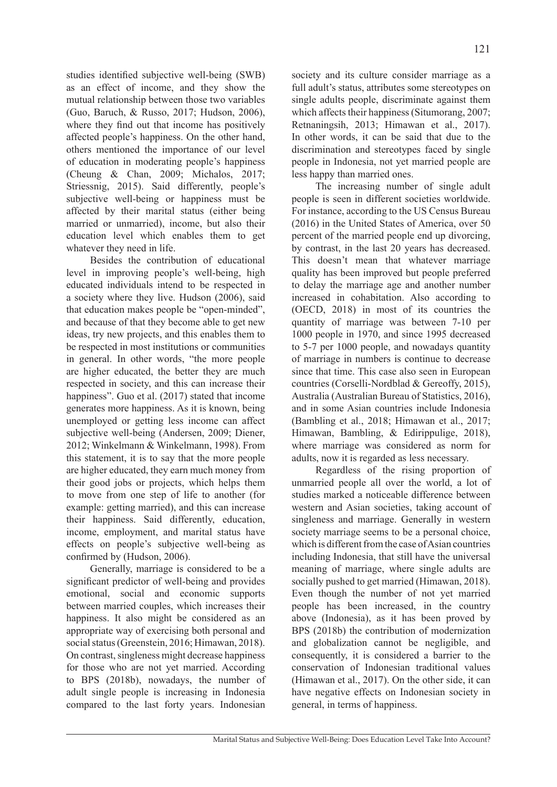studies identified subjective well-being (SWB) as an effect of income, and they show the mutual relationship between those two variables (Guo, Baruch, & Russo, 2017; Hudson, 2006), where they find out that income has positively affected people's happiness. On the other hand, others mentioned the importance of our level of education in moderating people's happiness (Cheung & Chan, 2009; Michalos, 2017; Striessnig, 2015). Said differently, people's subjective well-being or happiness must be affected by their marital status (either being married or unmarried), income, but also their education level which enables them to get whatever they need in life.

Besides the contribution of educational level in improving people's well-being, high educated individuals intend to be respected in a society where they live. Hudson (2006), said that education makes people be "open-minded", and because of that they become able to get new ideas, try new projects, and this enables them to be respected in most institutions or communities in general. In other words, "the more people are higher educated, the better they are much respected in society, and this can increase their happiness". Guo et al. (2017) stated that income generates more happiness. As it is known, being unemployed or getting less income can affect subjective well-being (Andersen, 2009; Diener, 2012; Winkelmann & Winkelmann, 1998). From this statement, it is to say that the more people are higher educated, they earn much money from their good jobs or projects, which helps them to move from one step of life to another (for example: getting married), and this can increase their happiness. Said differently, education, income, employment, and marital status have effects on people's subjective well-being as confirmed by (Hudson, 2006).

Generally, marriage is considered to be a significant predictor of well-being and provides emotional, social and economic supports between married couples, which increases their happiness. It also might be considered as an appropriate way of exercising both personal and social status (Greenstein, 2016; Himawan, 2018). On contrast, singleness might decrease happiness for those who are not yet married. According to BPS (2018b), nowadays, the number of adult single people is increasing in Indonesia compared to the last forty years. Indonesian society and its culture consider marriage as a full adult's status, attributes some stereotypes on single adults people, discriminate against them which affects their happiness (Situmorang, 2007; Retnaningsih, 2013; Himawan et al., 2017). In other words, it can be said that due to the discrimination and stereotypes faced by single people in Indonesia, not yet married people are less happy than married ones.

The increasing number of single adult people is seen in different societies worldwide. For instance, according to the US Census Bureau (2016) in the United States of America, over 50 percent of the married people end up divorcing, by contrast, in the last 20 years has decreased. This doesn't mean that whatever marriage quality has been improved but people preferred to delay the marriage age and another number increased in cohabitation. Also according to (OECD, 2018) in most of its countries the quantity of marriage was between 7-10 per 1000 people in 1970, and since 1995 decreased to 5-7 per 1000 people, and nowadays quantity of marriage in numbers is continue to decrease since that time. This case also seen in European countries (Corselli-Nordblad & Gereoffy, 2015), Australia (Australian Bureau of Statistics, 2016), and in some Asian countries include Indonesia (Bambling et al., 2018; Himawan et al., 2017; Himawan, Bambling, & Edirippulige, 2018), where marriage was considered as norm for adults, now it is regarded as less necessary.

Regardless of the rising proportion of unmarried people all over the world, a lot of studies marked a noticeable difference between western and Asian societies, taking account of singleness and marriage. Generally in western society marriage seems to be a personal choice, which is different from the case of Asian countries including Indonesia, that still have the universal meaning of marriage, where single adults are socially pushed to get married (Himawan, 2018). Even though the number of not yet married people has been increased, in the country above (Indonesia), as it has been proved by BPS (2018b) the contribution of modernization and globalization cannot be negligible, and consequently, it is considered a barrier to the conservation of Indonesian traditional values (Himawan et al., 2017). On the other side, it can have negative effects on Indonesian society in general, in terms of happiness.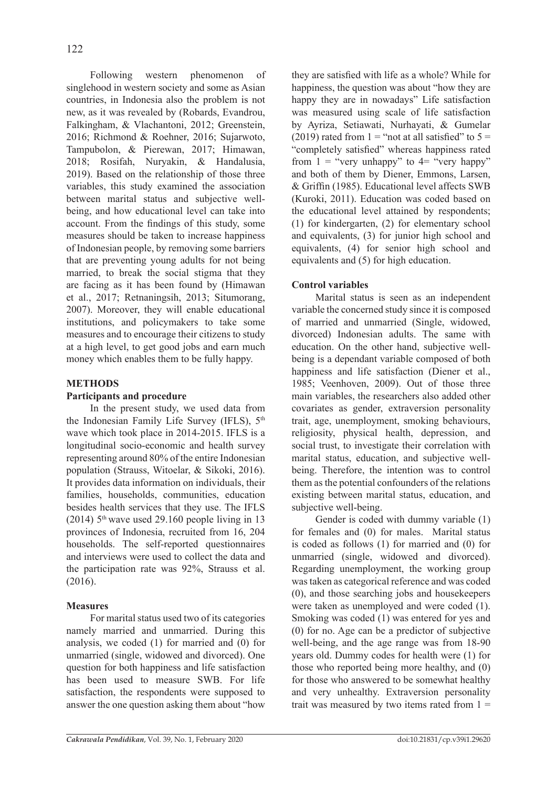Following western phenomenon of singlehood in western society and some as Asian countries, in Indonesia also the problem is not new, as it was revealed by (Robards, Evandrou, Falkingham, & Vlachantoni, 2012; Greenstein, 2016; Richmond & Roehner, 2016; Sujarwoto, Tampubolon, & Pierewan, 2017; Himawan, 2018; Rosifah, Nuryakin, & Handalusia, 2019). Based on the relationship of those three variables, this study examined the association between marital status and subjective wellbeing, and how educational level can take into account. From the findings of this study, some measures should be taken to increase happiness of Indonesian people, by removing some barriers that are preventing young adults for not being married, to break the social stigma that they are facing as it has been found by (Himawan et al., 2017; Retnaningsih, 2013; Situmorang, 2007). Moreover, they will enable educational institutions, and policymakers to take some measures and to encourage their citizens to study at a high level, to get good jobs and earn much money which enables them to be fully happy.

# **METHODS**

### **Participants and procedure**

In the present study, we used data from the Indonesian Family Life Survey (IFLS),  $5<sup>th</sup>$ wave which took place in 2014-2015. IFLS is a longitudinal socio-economic and health survey representing around 80% of the entire Indonesian population (Strauss, Witoelar, & Sikoki, 2016). It provides data information on individuals, their families, households, communities, education besides health services that they use. The IFLS (2014)  $5<sup>th</sup>$  wave used 29.160 people living in 13 provinces of Indonesia, recruited from 16, 204 households. The self-reported questionnaires and interviews were used to collect the data and the participation rate was 92%, Strauss et al. (2016).

### **Measures**

For marital status used two of its categories namely married and unmarried. During this analysis, we coded (1) for married and (0) for unmarried (single, widowed and divorced). One question for both happiness and life satisfaction has been used to measure SWB. For life satisfaction, the respondents were supposed to answer the one question asking them about "how

they are satisfied with life as a whole? While for happiness, the question was about "how they are happy they are in nowadays" Life satisfaction was measured using scale of life satisfaction by Ayriza, Setiawati, Nurhayati, & Gumelar (2019) rated from  $1 =$  "not at all satisfied" to  $5 =$ "completely satisfied" whereas happiness rated from  $1 =$  "very unhappy" to  $4 =$  "very happy" and both of them by Diener, Emmons, Larsen, & Griffin (1985). Educational level affects SWB (Kuroki, 2011). Education was coded based on the educational level attained by respondents; (1) for kindergarten, (2) for elementary school and equivalents, (3) for junior high school and equivalents, (4) for senior high school and equivalents and (5) for high education.

# **Control variables**

Marital status is seen as an independent variable the concerned study since it is composed of married and unmarried (Single, widowed, divorced) Indonesian adults. The same with education. On the other hand, subjective wellbeing is a dependant variable composed of both happiness and life satisfaction (Diener et al., 1985; Veenhoven, 2009). Out of those three main variables, the researchers also added other covariates as gender, extraversion personality trait, age, unemployment, smoking behaviours, religiosity, physical health, depression, and social trust, to investigate their correlation with marital status, education, and subjective wellbeing. Therefore, the intention was to control them as the potential confounders of the relations existing between marital status, education, and subjective well-being.

Gender is coded with dummy variable (1) for females and (0) for males. Marital status is coded as follows (1) for married and (0) for unmarried (single, widowed and divorced). Regarding unemployment, the working group was taken as categorical reference and was coded (0), and those searching jobs and housekeepers were taken as unemployed and were coded (1). Smoking was coded (1) was entered for yes and (0) for no. Age can be a predictor of subjective well-being, and the age range was from 18-90 years old. Dummy codes for health were (1) for those who reported being more healthy, and (0) for those who answered to be somewhat healthy and very unhealthy. Extraversion personality trait was measured by two items rated from  $1 =$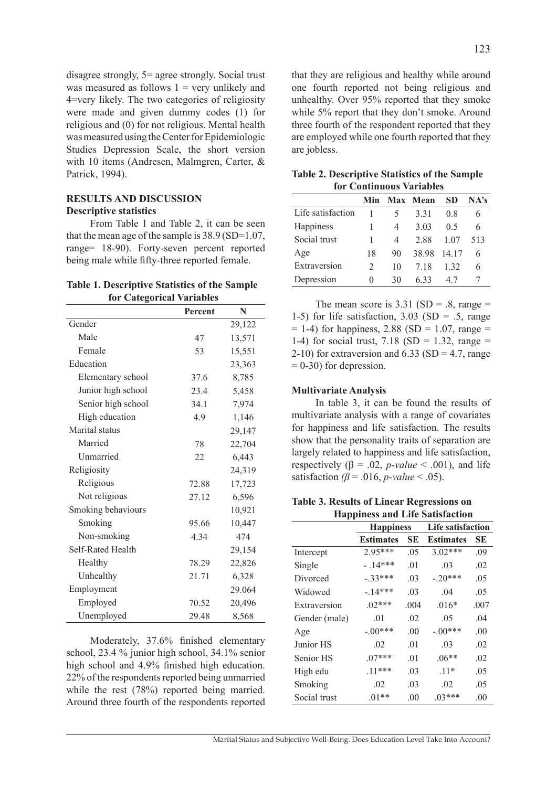disagree strongly, 5= agree strongly. Social trust was measured as follows  $1 = \text{very unlikely}$  and 4=very likely. The two categories of religiosity were made and given dummy codes (1) for religious and (0) for not religious. Mental health was measured using the Center for Epidemiologic Studies Depression Scale, the short version with 10 items (Andresen, Malmgren, Carter, & Patrick, 1994).

### **RESULTS AND DISCUSSION Descriptive statistics**

From Table 1 and Table 2, it can be seen that the mean age of the sample is 38.9 (SD=1.07, range= 18-90). Forty-seven percent reported being male while fifty-three reported female.

#### **Table 1. Descriptive Statistics of the Sample for Categorical Variables**

|                    | Percent | N      |
|--------------------|---------|--------|
| Gender             |         | 29,122 |
| Male               | 47      | 13,571 |
| Female             | 53      | 15,551 |
| Education          |         | 23,363 |
| Elementary school  | 37.6    | 8,785  |
| Junior high school | 23.4    | 5,458  |
| Senior high school | 34.1    | 7,974  |
| High education     | 4.9     | 1,146  |
| Marital status     |         | 29,147 |
| Married            | 78      | 22,704 |
| Unmarried          | 22      | 6,443  |
| Religiosity        |         | 24,319 |
| Religious          | 72.88   | 17,723 |
| Not religious      | 27.12   | 6,596  |
| Smoking behaviours |         | 10,921 |
| Smoking            | 95.66   | 10,447 |
| Non-smoking        | 4.34    | 474    |
| Self-Rated Health  |         | 29,154 |
| Healthy            | 78.29   | 22,826 |
| Unhealthy          | 21.71   | 6,328  |
| Employment         |         | 29.064 |
| Employed           | 70.52   | 20,496 |
| Unemployed         | 29.48   | 8,568  |

Moderately, 37.6% finished elementary school, 23.4 % junior high school, 34.1% senior high school and 4.9% finished high education. 22% of the respondents reported being unmarried while the rest (78%) reported being married. Around three fourth of the respondents reported that they are religious and healthy while around one fourth reported not being religious and unhealthy. Over 95% reported that they smoke while 5% report that they don't smoke. Around three fourth of the respondent reported that they are employed while one fourth reported that they are jobless.

| <b>Table 2. Descriptive Statistics of the Sample</b> |  |
|------------------------------------------------------|--|
| <b>for Continuous Variables</b>                      |  |

|                   | Min           |    | Max Mean | SD    | NA's |
|-------------------|---------------|----|----------|-------|------|
| Life satisfaction |               |    | 3 3 1    | 08    | h    |
| Happiness         |               | 4  | 3.03     | 0.5   | 6    |
| Social trust      |               | 4  | 2.88     | 1.07  | 513  |
| Age               | 18            | 90 | 38.98    | 14.17 | 6    |
| Extraversion      | $\mathcal{L}$ | 10 | 7.18     | 1 3 2 | 6    |
| Depression        | $\mathbf{0}$  | 30 | 633      | 47    |      |

The mean score is  $3.31$  (SD = .8, range = 1-5) for life satisfaction,  $3.03$  (SD = .5, range  $= 1-4$ ) for happiness, 2.88 (SD  $= 1.07$ , range  $=$ 1-4) for social trust,  $7.18$  (SD = 1.32, range = 2-10) for extraversion and  $6.33$  (SD = 4.7, range  $= 0.30$ ) for depression.

#### **Multivariate Analysis**

In table 3, it can be found the results of multivariate analysis with a range of covariates for happiness and life satisfaction. The results show that the personality traits of separation are largely related to happiness and life satisfaction, respectively ( $\beta$  = .02, *p-value* < .001), and life satisfaction  $\beta$  = .016, *p*-value < .05).

**Table 3. Results of Linear Regressions on Happiness and Life Satisfaction**

| 77 K          |                  |      |                          |      |
|---------------|------------------|------|--------------------------|------|
|               | <b>Happiness</b> |      | <b>Life satisfaction</b> |      |
|               | <b>Estimates</b> | SЕ   | <b>Estimates</b>         | SЕ   |
| Intercept     | $2.95***$        | .05  | $3.02***$                | .09  |
| Single        | $-14***$         | .01  | .03                      | .02  |
| Divorced      | $-.33***$        | .03  | $-.20***$                | .05  |
| Widowed       | $-14***$         | .03  | .04                      | .05  |
| Extraversion  | $.02***$         | .004 | $.016*$                  | .007 |
| Gender (male) | .01              | .02  | .05                      | .04  |
| Age           | $-.00***$        | .00  | $-.00***$                | .00  |
| Junior HS     | .02              | .01  | .03                      | .02  |
| Senior HS     | $.07***$         | .01  | $.06**$                  | .02  |
| High edu      | $.11***$         | .03  | $.11*$                   | .05  |
| Smoking       | .02              | .03  | .02                      | .05  |
| Social trust  | $.01**$          | .00  | $.03***$                 | .00  |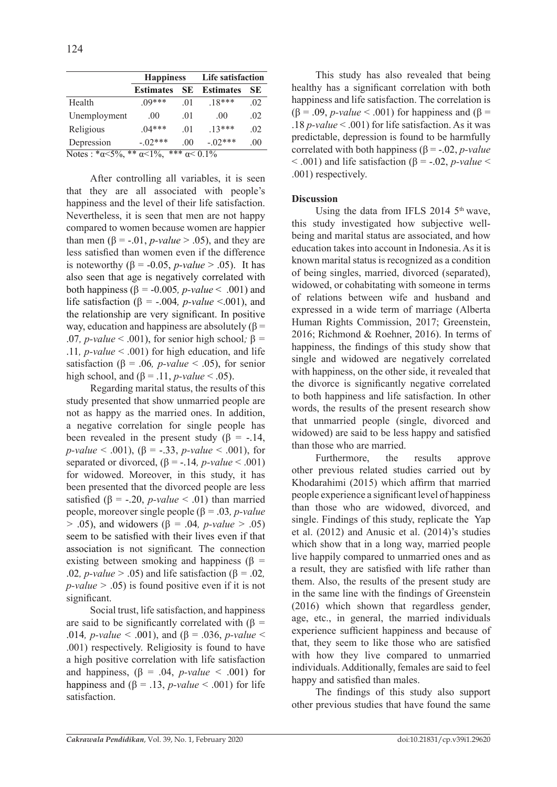|                                                                             | <b>Happiness</b> |                | <b>Life satisfaction</b> |         |
|-----------------------------------------------------------------------------|------------------|----------------|--------------------------|---------|
|                                                                             | <b>Estimates</b> | SЕ             | <b>Estimates</b>         | SЕ      |
| Health                                                                      | $09***$          | .01            | $18***$                  | .02     |
| Unemployment                                                                | .00.             | .01            | .00                      | .02     |
| Religious                                                                   | $.04***$         | .01            | $13***$                  | .02     |
| Depression                                                                  | $-.02***$        | 0 <sup>0</sup> | $-.02***$                | $.00\,$ |
| ***<br>**<br>Notes : $*\alpha < 5\%$ ,<br>$\alpha$ < 1%.<br>$\alpha$ < 0.1% |                  |                |                          |         |

After controlling all variables, it is seen that they are all associated with people's happiness and the level of their life satisfaction. Nevertheless, it is seen that men are not happy compared to women because women are happier than men ( $\beta$  = -.01, *p*-value > .05), and they are less satisfied than women even if the difference is noteworthy  $(\beta = -0.05, p-value > .05)$ . It has also seen that age is negatively correlated with both happiness (β *=* -0.005*, p-value* < .001) and life satisfaction (β *=* -.004*, p-value* <.001), and the relationship are very significant. In positive way, education and happiness are absolutely  $(\beta =$ .07*, p-value*  $\leq$  .001), for senior high school; β = .11*, p-value* < .001) for high education, and life satisfaction ( $\beta$  = .06, *p-value* < .05), for senior high school, and  $(\beta = .11, p-value < .05)$ .

Regarding marital status, the results of this study presented that show unmarried people are not as happy as the married ones. In addition, a negative correlation for single people has been revealed in the present study ( $\beta$  = -.14,  $p\text{-}value < .001$ ,  $(\beta = -.33, p\text{-}value < .001)$ , for separated or divorced,  $(\beta = -14, p-value < .001)$ for widowed. Moreover, in this study, it has been presented that the divorced people are less satisfied ( $\beta$  = -.20, *p-value* < .01) than married people, moreover single people (β *=* .03*, p-value >* .05), and widowers (β *=* .04*, p-value >* .05) seem to be satisfied with their lives even if that association is not significant*.* The connection existing between smoking and happiness (β *=* .02*, p-value >* .05) and life satisfaction (β *=* .02*, p-value >* .05) is found positive even if it is not significant.

Social trust, life satisfaction, and happiness are said to be significantly correlated with (β *=* .014*, p-value <* .001), and (β = .036, *p-value* < .001) respectively. Religiosity is found to have a high positive correlation with life satisfaction and happiness,  $(\beta = .04, p-value < .001)$  for happiness and  $(\beta = .13, p-value < .001)$  for life satisfaction.

This study has also revealed that being healthy has a significant correlation with both happiness and life satisfaction. The correlation is (β = .09, *p-value* < .001) for happiness and (β = .18 *p-value* < .001) for life satisfaction. As it was predictable, depression is found to be harmfully correlated with both happiness ( $\beta$  = -.02, *p*-value  $< .001$ ) and life satisfaction ( $\beta = -.02$ , *p-value*  $<$ .001) respectively.

### **Discussion**

Using the data from IFLS 2014  $5<sup>th</sup>$  wave, this study investigated how subjective wellbeing and marital status are associated, and how education takes into account in Indonesia. As it is known marital status is recognized as a condition of being singles, married, divorced (separated), widowed, or cohabitating with someone in terms of relations between wife and husband and expressed in a wide term of marriage (Alberta Human Rights Commission, 2017; Greenstein, 2016; Richmond & Roehner, 2016). In terms of happiness, the findings of this study show that single and widowed are negatively correlated with happiness, on the other side, it revealed that the divorce is significantly negative correlated to both happiness and life satisfaction. In other words, the results of the present research show that unmarried people (single, divorced and widowed) are said to be less happy and satisfied than those who are married.

Furthermore, the results approve other previous related studies carried out by Khodarahimi (2015) which affirm that married people experience a significant level of happiness than those who are widowed, divorced, and single. Findings of this study, replicate the Yap et al. (2012) and Anusic et al. (2014)'s studies which show that in a long way, married people live happily compared to unmarried ones and as a result, they are satisfied with life rather than them. Also, the results of the present study are in the same line with the findings of Greenstein (2016) which shown that regardless gender, age, etc., in general, the married individuals experience sufficient happiness and because of that, they seem to like those who are satisfied with how they live compared to unmarried individuals. Additionally, females are said to feel happy and satisfied than males.

The findings of this study also support other previous studies that have found the same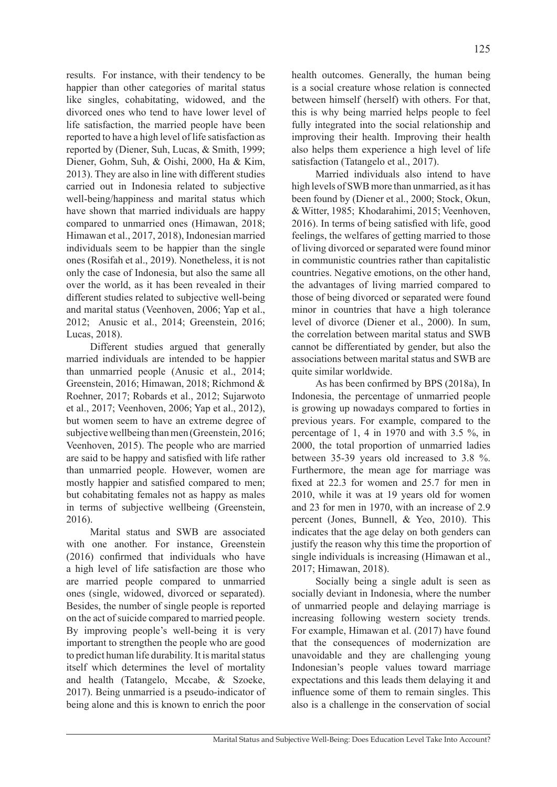results. For instance, with their tendency to be happier than other categories of marital status like singles, cohabitating, widowed, and the divorced ones who tend to have lower level of life satisfaction, the married people have been reported to have a high level of life satisfaction as reported by (Diener, Suh, Lucas, & Smith, 1999; Diener, Gohm, Suh, & Oishi, 2000, Ha & Kim, 2013). They are also in line with different studies carried out in Indonesia related to subjective well-being/happiness and marital status which have shown that married individuals are happy compared to unmarried ones (Himawan, 2018; Himawan et al., 2017, 2018), Indonesian married individuals seem to be happier than the single ones (Rosifah et al., 2019). Nonetheless, it is not only the case of Indonesia, but also the same all over the world, as it has been revealed in their different studies related to subjective well-being and marital status (Veenhoven, 2006; Yap et al., 2012; Anusic et al., 2014; Greenstein, 2016; Lucas, 2018).

Different studies argued that generally married individuals are intended to be happier than unmarried people (Anusic et al., 2014; Greenstein, 2016; Himawan, 2018; Richmond & Roehner, 2017; Robards et al., 2012; Sujarwoto et al., 2017; Veenhoven, 2006; Yap et al., 2012), but women seem to have an extreme degree of subjective wellbeing than men (Greenstein, 2016; Veenhoven, 2015). The people who are married are said to be happy and satisfied with life rather than unmarried people. However, women are mostly happier and satisfied compared to men; but cohabitating females not as happy as males in terms of subjective wellbeing (Greenstein, 2016).

Marital status and SWB are associated with one another. For instance, Greenstein (2016) confirmed that individuals who have a high level of life satisfaction are those who are married people compared to unmarried ones (single, widowed, divorced or separated). Besides, the number of single people is reported on the act of suicide compared to married people. By improving people's well-being it is very important to strengthen the people who are good to predict human life durability. It is marital status itself which determines the level of mortality and health (Tatangelo, Mccabe, & Szoeke, 2017). Being unmarried is a pseudo-indicator of being alone and this is known to enrich the poor health outcomes. Generally, the human being is a social creature whose relation is connected between himself (herself) with others. For that, this is why being married helps people to feel fully integrated into the social relationship and improving their health. Improving their health also helps them experience a high level of life satisfaction (Tatangelo et al., 2017).

Married individuals also intend to have high levels of SWB more than unmarried, as it has been found by (Diener et al., 2000; Stock, Okun, & Witter, 1985; Khodarahimi, 2015; Veenhoven, 2016). In terms of being satisfied with life, good feelings, the welfares of getting married to those of living divorced or separated were found minor in communistic countries rather than capitalistic countries. Negative emotions, on the other hand, the advantages of living married compared to those of being divorced or separated were found minor in countries that have a high tolerance level of divorce (Diener et al., 2000). In sum, the correlation between marital status and SWB cannot be differentiated by gender, but also the associations between marital status and SWB are quite similar worldwide.

As has been confirmed by BPS (2018a), In Indonesia, the percentage of unmarried people is growing up nowadays compared to forties in previous years. For example, compared to the percentage of 1, 4 in 1970 and with 3.5 %, in 2000, the total proportion of unmarried ladies between 35-39 years old increased to 3.8 %. Furthermore, the mean age for marriage was fixed at 22.3 for women and 25.7 for men in 2010, while it was at 19 years old for women and 23 for men in 1970, with an increase of 2.9 percent (Jones, Bunnell, & Yeo, 2010). This indicates that the age delay on both genders can justify the reason why this time the proportion of single individuals is increasing (Himawan et al., 2017; Himawan, 2018).

Socially being a single adult is seen as socially deviant in Indonesia, where the number of unmarried people and delaying marriage is increasing following western society trends. For example, Himawan et al. (2017) have found that the consequences of modernization are unavoidable and they are challenging young Indonesian's people values toward marriage expectations and this leads them delaying it and influence some of them to remain singles. This also is a challenge in the conservation of social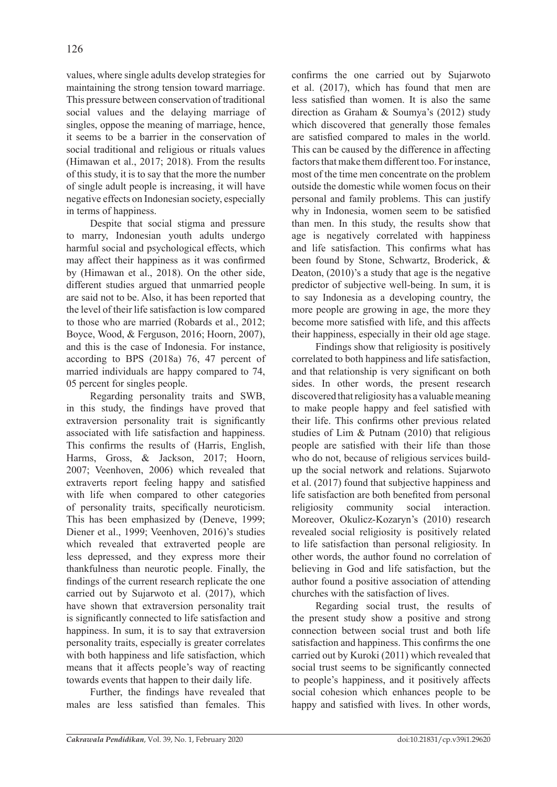values, where single adults develop strategies for maintaining the strong tension toward marriage. This pressure between conservation of traditional social values and the delaying marriage of singles, oppose the meaning of marriage, hence, it seems to be a barrier in the conservation of social traditional and religious or rituals values (Himawan et al., 2017; 2018). From the results of this study, it is to say that the more the number of single adult people is increasing, it will have negative effects on Indonesian society, especially in terms of happiness.

Despite that social stigma and pressure to marry, Indonesian youth adults undergo harmful social and psychological effects, which may affect their happiness as it was confirmed by (Himawan et al., 2018). On the other side, different studies argued that unmarried people are said not to be. Also, it has been reported that the level of their life satisfaction is low compared to those who are married (Robards et al., 2012; Boyce, Wood, & Ferguson, 2016; Hoorn, 2007), and this is the case of Indonesia. For instance, according to BPS (2018a) 76, 47 percent of married individuals are happy compared to 74, 05 percent for singles people.

Regarding personality traits and SWB, in this study, the findings have proved that extraversion personality trait is significantly associated with life satisfaction and happiness. This confirms the results of (Harris, English, Harms, Gross, & Jackson, 2017; Hoorn, 2007; Veenhoven, 2006) which revealed that extraverts report feeling happy and satisfied with life when compared to other categories of personality traits, specifically neuroticism. This has been emphasized by (Deneve, 1999; Diener et al., 1999; Veenhoven, 2016)'s studies which revealed that extraverted people are less depressed, and they express more their thankfulness than neurotic people. Finally, the findings of the current research replicate the one carried out by Sujarwoto et al. (2017), which have shown that extraversion personality trait is significantly connected to life satisfaction and happiness. In sum, it is to say that extraversion personality traits, especially is greater correlates with both happiness and life satisfaction, which means that it affects people's way of reacting towards events that happen to their daily life.

Further, the findings have revealed that males are less satisfied than females. This

confirms the one carried out by Sujarwoto et al. (2017), which has found that men are less satisfied than women. It is also the same direction as Graham & Soumya's (2012) study which discovered that generally those females are satisfied compared to males in the world. This can be caused by the difference in affecting factors that make them different too. For instance, most of the time men concentrate on the problem outside the domestic while women focus on their personal and family problems. This can justify why in Indonesia, women seem to be satisfied than men. In this study, the results show that age is negatively correlated with happiness and life satisfaction. This confirms what has been found by Stone, Schwartz, Broderick, & Deaton, (2010)'s a study that age is the negative predictor of subjective well-being. In sum, it is to say Indonesia as a developing country, the more people are growing in age, the more they become more satisfied with life, and this affects their happiness, especially in their old age stage.

Findings show that religiosity is positively correlated to both happiness and life satisfaction, and that relationship is very significant on both sides. In other words, the present research discovered that religiosity has a valuable meaning to make people happy and feel satisfied with their life. This confirms other previous related studies of Lim & Putnam (2010) that religious people are satisfied with their life than those who do not, because of religious services buildup the social network and relations. Sujarwoto et al. (2017) found that subjective happiness and life satisfaction are both benefited from personal religiosity community social interaction. Moreover, Okulicz-Kozaryn's (2010) research revealed social religiosity is positively related to life satisfaction than personal religiosity. In other words, the author found no correlation of believing in God and life satisfaction, but the author found a positive association of attending churches with the satisfaction of lives.

Regarding social trust, the results of the present study show a positive and strong connection between social trust and both life satisfaction and happiness. This confirms the one carried out by Kuroki (2011) which revealed that social trust seems to be significantly connected to people's happiness, and it positively affects social cohesion which enhances people to be happy and satisfied with lives. In other words,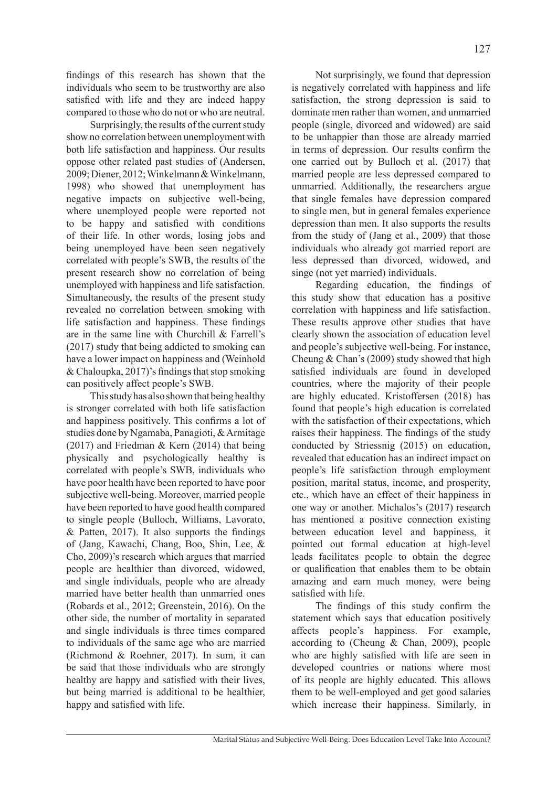findings of this research has shown that the individuals who seem to be trustworthy are also satisfied with life and they are indeed happy compared to those who do not or who are neutral.

Surprisingly, the results of the current study show no correlation between unemployment with both life satisfaction and happiness. Our results oppose other related past studies of (Andersen, 2009; Diener, 2012; Winkelmann & Winkelmann, 1998) who showed that unemployment has negative impacts on subjective well-being, where unemployed people were reported not to be happy and satisfied with conditions of their life. In other words, losing jobs and being unemployed have been seen negatively correlated with people's SWB, the results of the present research show no correlation of being unemployed with happiness and life satisfaction. Simultaneously, the results of the present study revealed no correlation between smoking with life satisfaction and happiness. These findings are in the same line with Churchill & Farrell's (2017) study that being addicted to smoking can have a lower impact on happiness and (Weinhold & Chaloupka, 2017)'s findings that stop smoking can positively affect people's SWB.

This study has also shown that being healthy is stronger correlated with both life satisfaction and happiness positively. This confirms a lot of studies done by Ngamaba, Panagioti, & Armitage (2017) and Friedman & Kern (2014) that being physically and psychologically healthy is correlated with people's SWB, individuals who have poor health have been reported to have poor subjective well-being. Moreover, married people have been reported to have good health compared to single people (Bulloch, Williams, Lavorato, & Patten, 2017). It also supports the findings of (Jang, Kawachi, Chang, Boo, Shin, Lee, & Cho, 2009)'s research which argues that married people are healthier than divorced, widowed, and single individuals, people who are already married have better health than unmarried ones (Robards et al., 2012; Greenstein, 2016). On the other side, the number of mortality in separated and single individuals is three times compared to individuals of the same age who are married (Richmond & Roehner, 2017). In sum, it can be said that those individuals who are strongly healthy are happy and satisfied with their lives, but being married is additional to be healthier, happy and satisfied with life.

Not surprisingly, we found that depression is negatively correlated with happiness and life satisfaction, the strong depression is said to dominate men rather than women, and unmarried people (single, divorced and widowed) are said to be unhappier than those are already married in terms of depression. Our results confirm the one carried out by Bulloch et al. (2017) that married people are less depressed compared to unmarried. Additionally, the researchers argue that single females have depression compared to single men, but in general females experience depression than men. It also supports the results from the study of (Jang et al., 2009) that those individuals who already got married report are

less depressed than divorced, widowed, and

singe (not yet married) individuals. Regarding education, the findings of this study show that education has a positive correlation with happiness and life satisfaction. These results approve other studies that have clearly shown the association of education level and people's subjective well-being. For instance, Cheung & Chan's (2009) study showed that high satisfied individuals are found in developed countries, where the majority of their people are highly educated. Kristoffersen (2018) has found that people's high education is correlated with the satisfaction of their expectations, which raises their happiness. The findings of the study conducted by Striessnig (2015) on education, revealed that education has an indirect impact on people's life satisfaction through employment position, marital status, income, and prosperity, etc., which have an effect of their happiness in one way or another. Michalos's (2017) research has mentioned a positive connection existing between education level and happiness, it pointed out formal education at high-level leads facilitates people to obtain the degree or qualification that enables them to be obtain amazing and earn much money, were being satisfied with life.

The findings of this study confirm the statement which says that education positively affects people's happiness. For example, according to (Cheung & Chan, 2009), people who are highly satisfied with life are seen in developed countries or nations where most of its people are highly educated. This allows them to be well-employed and get good salaries which increase their happiness. Similarly, in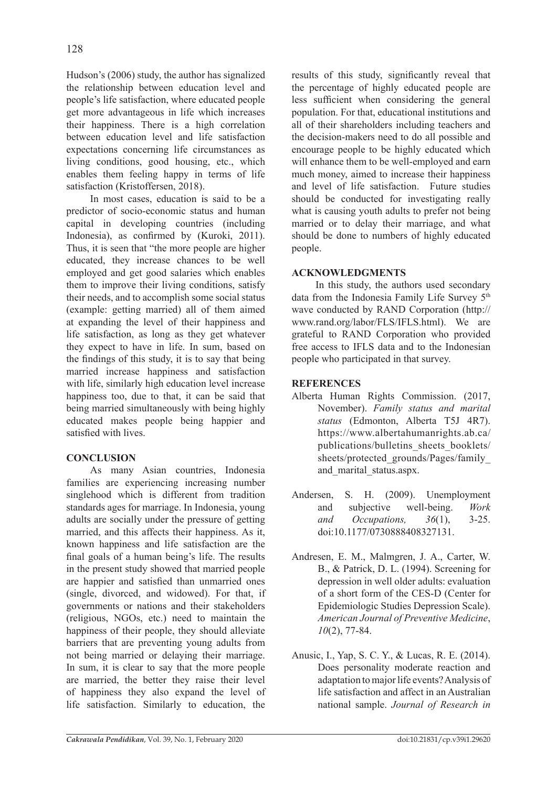Hudson's (2006) study, the author has signalized the relationship between education level and people's life satisfaction, where educated people get more advantageous in life which increases their happiness. There is a high correlation between education level and life satisfaction expectations concerning life circumstances as living conditions, good housing, etc., which enables them feeling happy in terms of life satisfaction (Kristoffersen, 2018).

In most cases, education is said to be a predictor of socio-economic status and human capital in developing countries (including Indonesia), as confirmed by (Kuroki, 2011). Thus, it is seen that "the more people are higher educated, they increase chances to be well employed and get good salaries which enables them to improve their living conditions, satisfy their needs, and to accomplish some social status (example: getting married) all of them aimed at expanding the level of their happiness and life satisfaction, as long as they get whatever they expect to have in life. In sum, based on the findings of this study, it is to say that being married increase happiness and satisfaction with life, similarly high education level increase happiness too, due to that, it can be said that being married simultaneously with being highly educated makes people being happier and satisfied with lives.

# **CONCLUSION**

As many Asian countries, Indonesia families are experiencing increasing number singlehood which is different from tradition standards ages for marriage. In Indonesia, young adults are socially under the pressure of getting married, and this affects their happiness. As it, known happiness and life satisfaction are the final goals of a human being's life. The results in the present study showed that married people are happier and satisfied than unmarried ones (single, divorced, and widowed). For that, if governments or nations and their stakeholders (religious, NGOs, etc.) need to maintain the happiness of their people, they should alleviate barriers that are preventing young adults from not being married or delaying their marriage. In sum, it is clear to say that the more people are married, the better they raise their level of happiness they also expand the level of life satisfaction. Similarly to education, the results of this study, significantly reveal that the percentage of highly educated people are less sufficient when considering the general population. For that, educational institutions and all of their shareholders including teachers and the decision-makers need to do all possible and encourage people to be highly educated which will enhance them to be well-employed and earn much money, aimed to increase their happiness and level of life satisfaction. Future studies should be conducted for investigating really what is causing youth adults to prefer not being married or to delay their marriage, and what should be done to numbers of highly educated people.

### **ACKNOWLEDGMENTS**

In this study, the authors used secondary data from the Indonesia Family Life Survey 5<sup>th</sup> wave conducted by RAND Corporation (http:// www.rand.org/labor/FLS/IFLS.html). We are grateful to RAND Corporation who provided free access to IFLS data and to the Indonesian people who participated in that survey.

## **REFERENCES**

- Alberta Human Rights Commission. (2017, November). *Family status and marital status* (Edmonton, Alberta T5J 4R7). https://www.albertahumanrights.ab.ca/ publications/bulletins\_sheets\_booklets/ sheets/protected\_grounds/Pages/family and marital status.aspx.
- Andersen, S. H. (2009). Unemployment and subjective well-being. *Work and Occupations, 36*(1), 3-25. doi:10.1177/0730888408327131.
- Andresen, E. M., Malmgren, J. A., Carter, W. B., & Patrick, D. L. (1994). Screening for depression in well older adults: evaluation of a short form of the CES-D (Center for Epidemiologic Studies Depression Scale). *American Journal of Preventive Medicine*, *10*(2), 77-84.
- Anusic, I., Yap, S. C. Y., & Lucas, R. E. (2014). Does personality moderate reaction and adaptation to major life events? Analysis of life satisfaction and affect in an Australian national sample. *Journal of Research in*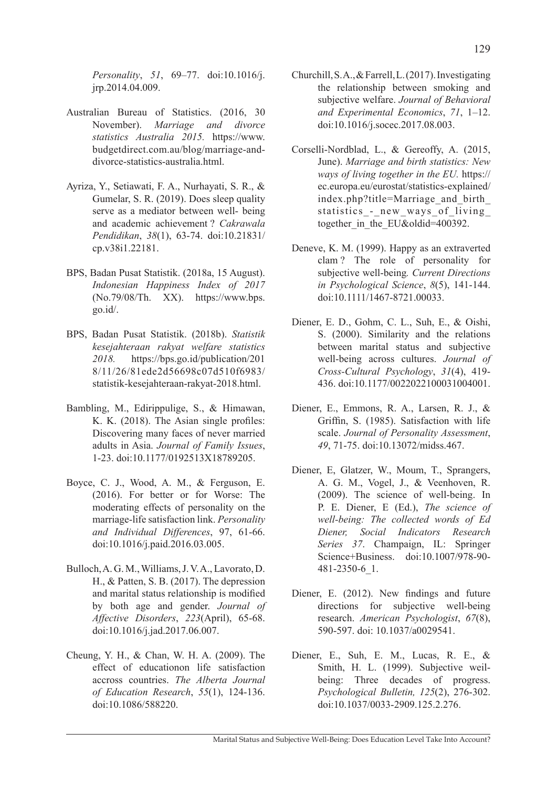*Personality*, *51*, 69–77. doi:10.1016/j. jrp.2014.04.009.

- Australian Bureau of Statistics. (2016, 30 November). *Marriage and divorce statistics Australia 2015.* https://www. budgetdirect.com.au/blog/marriage-anddivorce-statistics-australia.html.
- Ayriza, Y., Setiawati, F. A., Nurhayati, S. R., & Gumelar, S. R. (2019). Does sleep quality serve as a mediator between well- being and academic achievement ? *Cakrawala Pendidikan*, *38*(1), 63-74. doi:10.21831/ cp.v38i1.22181.
- BPS, Badan Pusat Statistik. (2018a, 15 August). *Indonesian Happiness Index of 2017*  (No.79/08/Th. XX). https://www.bps. go.id/.
- BPS, Badan Pusat Statistik. (2018b). *Statistik kesejahteraan rakyat welfare statistics 2018.* https://bps.go.id/publication/201 8/11/26/81ede2d56698c07d510f6983/ statistik-kesejahteraan-rakyat-2018.html.
- Bambling, M., Edirippulige, S., & Himawan, K. K. (2018). The Asian single profiles: Discovering many faces of never married adults in Asia. *Journal of Family Issues*, 1-23. doi:10.1177/0192513X18789205.
- Boyce, C. J., Wood, A. M., & Ferguson, E. (2016). For better or for Worse: The moderating effects of personality on the marriage-life satisfaction link. *Personality and Individual Differences*, 97, 61-66. doi:10.1016/j.paid.2016.03.005.
- Bulloch, A. G. M., Williams, J. V. A., Lavorato, D. H., & Patten, S. B. (2017). The depression and marital status relationship is modified by both age and gender. *Journal of Affective Disorders*, *223*(April), 65-68. doi:10.1016/j.jad.2017.06.007.
- Cheung, Y. H., & Chan, W. H. A. (2009). The effect of educationon life satisfaction accross countries. *The Alberta Journal of Education Research*, *55*(1), 124-136. doi:10.1086/588220.
- Churchill, S. A., & Farrell, L. (2017). Investigating the relationship between smoking and subjective welfare. *Journal of Behavioral and Experimental Economics*, *71*, 1–12. doi:10.1016/j.socec.2017.08.003.
- Corselli-Nordblad, L., & Gereoffy, A. (2015, June). *Marriage and birth statistics: New ways of living together in the EU.* https:// ec.europa.eu/eurostat/statistics-explained/ index.php?title=Marriage\_and\_birth\_ statistics - new ways of living together in the EU&oldid=400392.
- Deneve, K. M. (1999). Happy as an extraverted clam ? The role of personality for subjective well-being*. Current Directions in Psychological Science*, *8*(5), 141-144. doi:10.1111/1467-8721.00033.
- Diener, E. D., Gohm, C. L., Suh, E., & Oishi, S. (2000). Similarity and the relations between marital status and subjective well-being across cultures. *Journal of Cross-Cultural Psychology*, *31*(4), 419- 436. doi:10.1177/0022022100031004001.
- Diener, E., Emmons, R. A., Larsen, R. J., & Griffin, S. (1985). Satisfaction with life scale. *Journal of Personality Assessment*, *49*, 71-75. doi:10.13072/midss.467.
- Diener, E, Glatzer, W., Moum, T., Sprangers, A. G. M., Vogel, J., & Veenhoven, R. (2009). The science of well-being. In P. E. Diener, E (Ed.), *The science of well-being: The collected words of Ed Diener, Social Indicators Research Series 37*. Champaign, IL: Springer Science+Business. doi:10.1007/978-90- 481-2350-6\_1.
- Diener, E. (2012). New findings and future directions for subjective well-being research. *American Psychologist*, *67*(8), 590-597. doi: 10.1037/a0029541.
- Diener, E., Suh, E. M., Lucas, R. E., & Smith, H. L. (1999). Subjective weilbeing: Three decades of progress. *Psychological Bulletin, 125*(2), 276-302. doi:10.1037/0033-2909.125.2.276.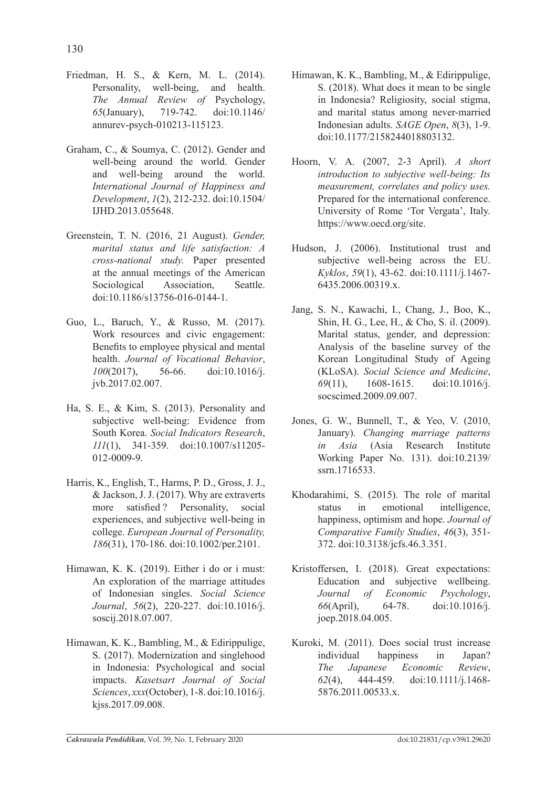- Friedman, H. S., & Kern, M. L. (2014). Personality, well-being, and health. *The Annual Review of* Psychology, *65*(January), 719-742. doi:10.1146/ annurev-psych-010213-115123.
- Graham, C., & Soumya, C. (2012). Gender and well-being around the world. Gender and well-being around the world. *International Journal of Happiness and Development*, *1*(2), 212-232. doi:10.1504/ IJHD.2013.055648.
- Greenstein, T. N. (2016, 21 August). *Gender, marital status and life satisfaction: A cross-national study.* Paper presented at the annual meetings of the American Sociological Association, Seattle. doi:10.1186/s13756-016-0144-1.
- Guo, L., Baruch, Y., & Russo, M. (2017). Work resources and civic engagement: Benefits to employee physical and mental health. *Journal of Vocational Behavior*, *100*(2017), 56-66. doi:10.1016/j. jvb.2017.02.007.
- Ha, S. E., & Kim, S. (2013). Personality and subjective well-being: Evidence from South Korea. *Social Indicators Research*, *111*(1), 341-359. doi:10.1007/s11205- 012-0009-9.
- Harris, K., English, T., Harms, P. D., Gross, J. J., & Jackson, J. J. (2017). Why are extraverts more satisfied ? Personality, social experiences, and subjective well-being in college. *European Journal of Personality, 186*(31), 170-186. doi:10.1002/per.2101.
- Himawan, K. K. (2019). Either i do or i must: An exploration of the marriage attitudes of Indonesian singles. *Social Science Journal*, *56*(2), 220-227. doi:10.1016/j. soscij.2018.07.007.
- Himawan, K. K., Bambling, M., & Edirippulige, S. (2017). Modernization and singlehood in Indonesia: Psychological and social impacts. *Kasetsart Journal of Social Sciences*, *xxx*(October), 1-8. doi:10.1016/j. kjss.2017.09.008.
- Himawan, K. K., Bambling, M., & Edirippulige, S. (2018). What does it mean to be single in Indonesia? Religiosity, social stigma, and marital status among never-married Indonesian adults. *SAGE Open*, *8*(3), 1-9. doi:10.1177/2158244018803132.
- Hoorn, V. A. (2007, 2-3 April). *A short introduction to subjective well-being: Its measurement, correlates and policy uses.* Prepared for the international conference. University of Rome 'Tor Vergata', Italy. https://www.oecd.org/site.
- Hudson, J. (2006). Institutional trust and subjective well-being across the EU. *Kyklos*, *59*(1), 43-62. doi:10.1111/j.1467- 6435.2006.00319.x.
- Jang, S. N., Kawachi, I., Chang, J., Boo, K., Shin, H. G., Lee, H., & Cho, S. il. (2009). Marital status, gender, and depression: Analysis of the baseline survey of the Korean Longitudinal Study of Ageing (KLoSA). *Social Science and Medicine*, *69*(11), 1608-1615. doi:10.1016/j. socscimed.2009.09.007.
- Jones, G. W., Bunnell, T., & Yeo, V. (2010, January). *Changing marriage patterns in Asia* (Asia Research Institute Working Paper No. 131). doi:10.2139/ ssrn.1716533.
- Khodarahimi, S. (2015). The role of marital status in emotional intelligence, happiness, optimism and hope. *Journal of Comparative Family Studies*, *46*(3), 351- 372. doi:10.3138/jcfs.46.3.351.
- Kristoffersen, I. (2018). Great expectations: Education and subjective wellbeing. *Journal of Economic Psychology*, *66*(April), 64-78. doi:10.1016/j. joep.2018.04.005.
- Kuroki, M. (2011). Does social trust increase individual happiness in Japan? *The Japanese Economic Review*, *62*(4), 444-459. doi:10.1111/j.1468- 5876.2011.00533.x.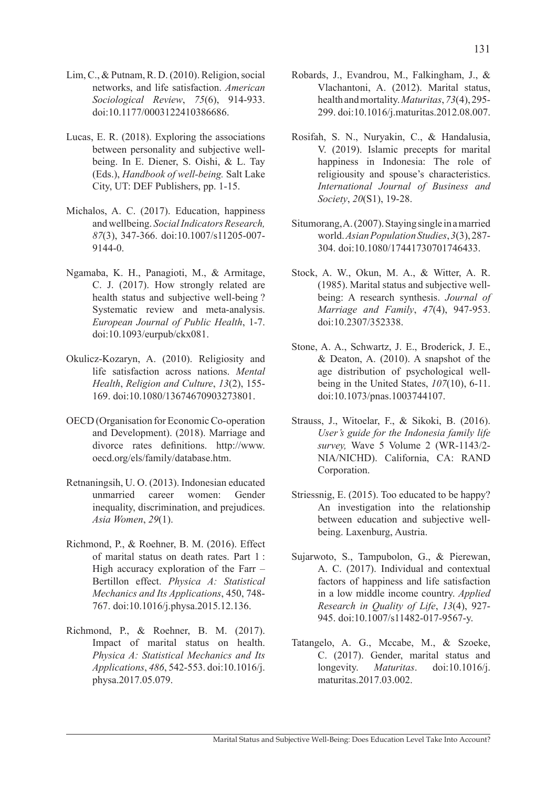- Lim, C., & Putnam, R. D. (2010). Religion, social networks, and life satisfaction. *American Sociological Review*, *75*(6), 914-933. doi:10.1177/0003122410386686.
- Lucas, E. R. (2018). Exploring the associations between personality and subjective wellbeing. In E. Diener, S. Oishi, & L. Tay (Eds.), *Handbook of well-being.* Salt Lake City, UT: DEF Publishers, pp. 1-15.
- Michalos, A. C. (2017). Education, happiness and wellbeing. *Social Indicators Research, 87*(3), 347-366. doi:10.1007/s11205-007- 9144-0.
- Ngamaba, K. H., Panagioti, M., & Armitage, C. J. (2017). How strongly related are health status and subjective well-being ? Systematic review and meta-analysis. *European Journal of Public Health*, 1-7. doi:10.1093/eurpub/ckx081.
- Okulicz-Kozaryn, A. (2010). Religiosity and life satisfaction across nations. *Mental Health*, *Religion and Culture*, *13*(2), 155- 169. doi:10.1080/13674670903273801.
- OECD (Organisation for Economic Co-operation and Development). (2018). Marriage and divorce rates definitions. http://www. oecd.org/els/family/database.htm.
- Retnaningsih, U. O. (2013). Indonesian educated unmarried career women: Gender inequality, discrimination, and prejudices. *Asia Women*, *29*(1).
- Richmond, P., & Roehner, B. M. (2016). Effect of marital status on death rates. Part 1 : High accuracy exploration of the Farr – Bertillon effect. *Physica A: Statistical Mechanics and Its Applications*, 450, 748- 767. doi:10.1016/j.physa.2015.12.136.
- Richmond, P., & Roehner, B. M. (2017). Impact of marital status on health. *Physica A: Statistical Mechanics and Its Applications*, *486*, 542-553. doi:10.1016/j. physa.2017.05.079.
- Robards, J., Evandrou, M., Falkingham, J., & Vlachantoni, A. (2012). Marital status, health and mortality. *Maturitas*, *73*(4), 295- 299. doi:10.1016/j.maturitas.2012.08.007.
- Rosifah, S. N., Nuryakin, C., & Handalusia, V. (2019). Islamic precepts for marital happiness in Indonesia: The role of religiousity and spouse's characteristics. *International Journal of Business and Society*, *20*(S1), 19-28.
- Situmorang, A. (2007). Staying single in a married world. *Asian Population Studies*, *3*(3), 287- 304. doi:10.1080/17441730701746433.
- Stock, A. W., Okun, M. A., & Witter, A. R. (1985). Marital status and subjective wellbeing: A research synthesis. *Journal of Marriage and Family*, *47*(4), 947-953. doi:10.2307/352338.
- Stone, A. A., Schwartz, J. E., Broderick, J. E.,  $& Deaton, A. (2010)$ . A snapshot of the age distribution of psychological wellbeing in the United States, *107*(10), 6-11. doi:10.1073/pnas.1003744107.
- Strauss, J., Witoelar, F., & Sikoki, B. (2016). *User's guide for the Indonesia family life survey,* Wave 5 Volume 2 (WR-1143/2- NIA/NICHD). California, CA: RAND Corporation.
- Striessnig, E. (2015). Too educated to be happy? An investigation into the relationship between education and subjective wellbeing. Laxenburg, Austria.
- Sujarwoto, S., Tampubolon, G., & Pierewan, A. C. (2017). Individual and contextual factors of happiness and life satisfaction in a low middle income country. *Applied Research in Quality of Life*, *13*(4), 927- 945. doi:10.1007/s11482-017-9567-y.
- Tatangelo, A. G., Mccabe, M., & Szoeke, C. (2017). Gender, marital status and longevity. *Maturitas*. doi:10.1016/j. maturitas.2017.03.002.